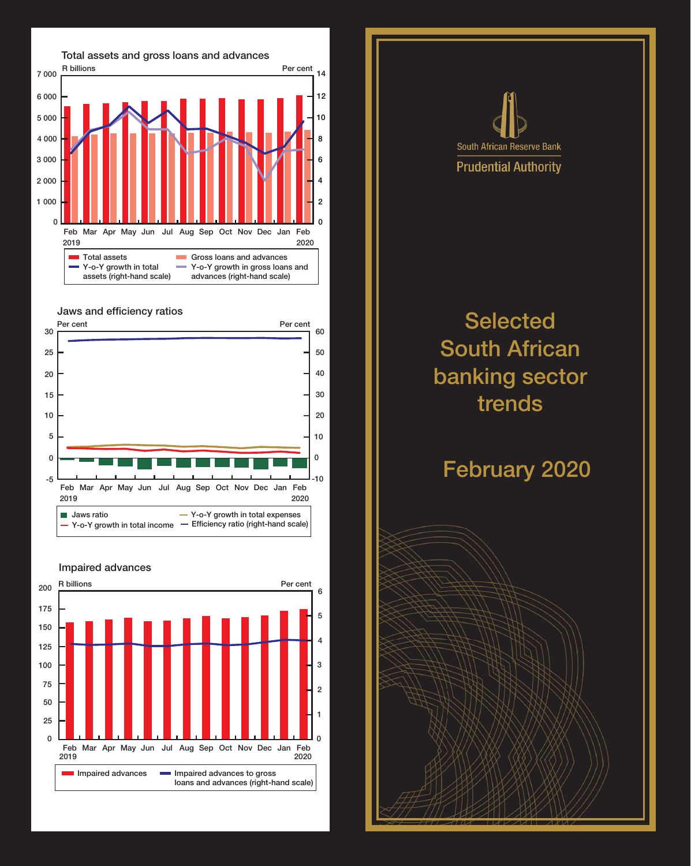